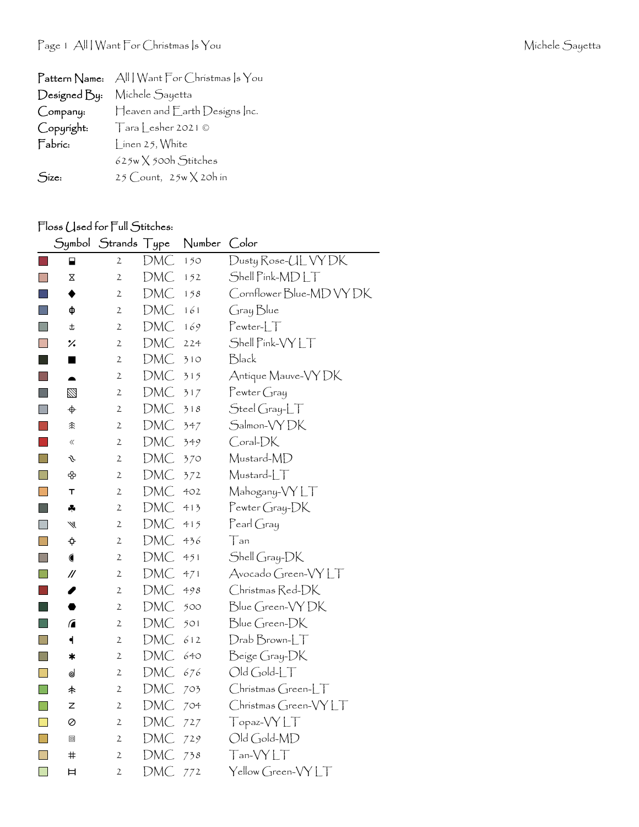|              | Pattern Name: All   Want For Christmas  s You |
|--------------|-----------------------------------------------|
| Designed By: | Michele Sayetta                               |
| Company:     | Heaven and Earth Designs Inc.                 |
| Copyright:   | Tara Lesher 2021 ©                            |
| Fabric:      | $\int$ inen 25, White                         |
|              | 625w X 500h Stitches                          |
| Size:        | $25$ Count, $25w \times 20h$ in               |

## Floss (Jsed for Full Stitches:

|                | Symbol                      | Strands Type   |            | Number | Color                    |
|----------------|-----------------------------|----------------|------------|--------|--------------------------|
|                | ⊟                           | 2              | DMC        | 150    | Dusty Rose-UL VY DK      |
|                | Χ                           | $\mathfrak{2}$ | <b>DMC</b> | 152    | Shell Pink-MDLT          |
|                | ◆                           | $\mathfrak{2}$ | DMC        | 158    | Cornflower Blue-MD VY DK |
|                | ф                           | $\mathfrak{2}$ | DMC        | 161    | Gray Blue                |
| Ħ              | t                           | 2              | <b>DMC</b> | 169    | Pewter-LT                |
| k.             | ℅                           | $\mathfrak{2}$ | DMC        | 224    | Shell Pink-VYLT          |
|                | ■                           | $\mathfrak{2}$ | <b>DMC</b> | 310    | Black                    |
| I.             |                             | $\mathfrak{2}$ | DMC        | 315    | Antique Mauve-VY DK      |
| п              | ⊠                           | 2              | DMC        | 317    | $P$ ewter Gray           |
| I.             | $\color{red} \blacklozenge$ | $\mathfrak{2}$ | <b>DMC</b> | 318    | $Stel Gray-LT$           |
|                | 余                           | 2              | DMC        | 347    | Salmon-VYDK              |
|                | $\langle\!\langle$          | $\mathfrak{2}$ | DMC        | 349    | Coral-DK                 |
|                | s                           | $\mathfrak{2}$ | DMC        | 370    | Mustard-MD               |
| $\blacksquare$ | ♧                           | $\mathfrak{2}$ | DMC        | 372    | Mustard-LT               |
| I.             | Т                           | 2              | DMC        | 402    | Mahogany-VYLT            |
|                | 4                           | $\mathfrak{2}$ | DMC        | 413    | Pewter Gray-DK           |
| H              | ₩                           | $\mathfrak{2}$ | DMC        | 415    | $Pearl$ Gray             |
|                |                             | 2              | <b>DMC</b> | 436    | Tan                      |
| $\Box$         | $\bigcirc$                  | 2              | <b>DMC</b> | 451    | Shell Gray-DK            |
| $\Box$         | $\mathcal{U}$               | $\mathbf 2$    | DMC        | 471    | Avocado Green-VYLT       |
|                | I                           | $\mathfrak{2}$ | <b>DMC</b> | 498    | Christmas Red-DK         |
|                |                             | 2              | <b>DMC</b> | 500    | Blue Green-VYDK          |
| I.             | ⋒                           | $\mathfrak{2}$ | DMC        | 501    | Blue Green-DK            |
| <b>I</b>       | $\blacktriangleleft$        | $\mathfrak{2}$ | DMC        | 612    | Drab Brown-LT            |
| П              | ∗                           | 2              | DMC        | 640    | Beige Gray-DK            |
| <b>Talling</b> | 0                           | $\mathfrak{2}$ | DMC        | 676    | Old Gold-LT              |
| T              | 木                           | $\mathfrak{2}$ | DMC        | 703    | Christmas Green-LT       |
| П              | z                           | $\mathbf{2}$   | DMC        | 704    | Christmas Green-VYLT     |
| $\Box$         | ⊘                           | 2              | <b>DMC</b> | 727    | Topaz-VY LT              |
| $\Box$         | ▣                           | 2              | DMC        | 729    | Old Gold-MD              |
| M.             | #                           | $\mathfrak{2}$ | DMC        | 738    | Tan-VYLT                 |
| $\Box$         | Ħ                           | $\mathfrak{2}$ | DMC        | 772    | Yellow Green-VYLT        |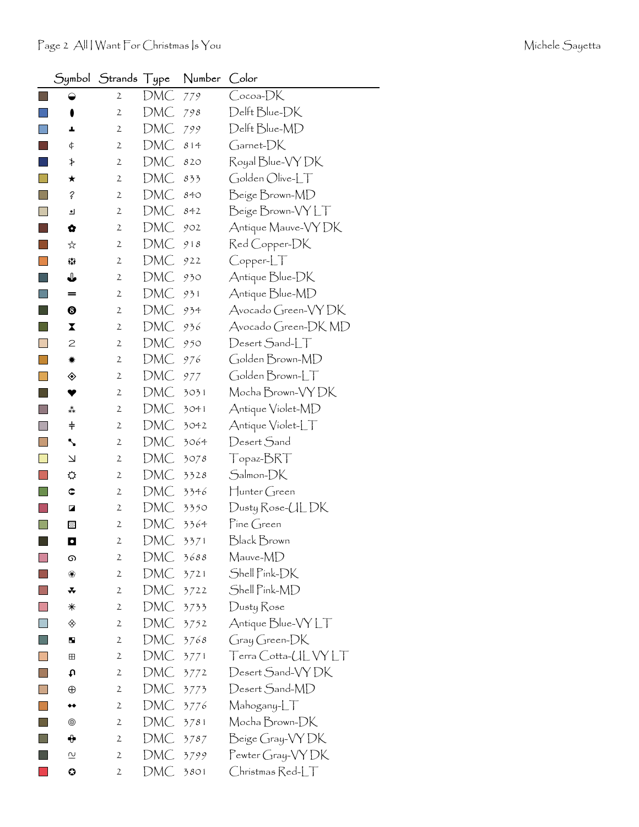| Symbol                   | Strands Type   |     | Number | Color                     |
|--------------------------|----------------|-----|--------|---------------------------|
|                          | 2              | DMC | 779    | Cocoa-DK                  |
|                          | $\mathfrak{2}$ | DMC | 798    | Delft Blue-DK             |
| ┻                        | 2              | DMC | 799    | Delft Blue-MD             |
| ¢                        | $\mathfrak{2}$ | DMC | 814    | Garnet-DK                 |
| ≯                        | 2              | DMC | 820    | Royal Blue-VY DK          |
| ★                        | 2              | DMC | 833    | Golden Olive-LT           |
| ?                        | 2              | DMC | 840    | Beige Brown-MD            |
| ┛                        | 2              | DMC | 842    | Beige Brown-VY LT         |
| Q                        | 2              | DMC | 902    | Antique Mauve-VY DK       |
| ☆                        | 2              | DMC | 918    | Red Copper-DK             |
| 53                       | 2              | DMC | 922    | $C$ opper- $LT$           |
| ⇓                        | 2              | DMC | 930    | Antique Blue-DK           |
| =                        | 2              | DMC | 931    | Antique Blue-MD           |
| ❸                        | 2              | DMC | 934    | Avocado Green-VYDK        |
| X                        | 2              | DMC | 936    | Avocado Green-DK MD       |
| 2                        | 2              | DMC | 950    | Desert Sand-LT            |
| ☀                        | 2              | DMC | 976    | Golden Brown-MD           |
| ◈                        | $\mathbf{2}$   | DMC | 977    | Golden Brown-LT           |
| v                        | 2              | DMC | 3031   | Mocha Brown-VY DK         |
| ∗*                       | $\mathfrak{2}$ | DMC | 3041   | Antique Violet-MD         |
| $^\mathrm{+}$            | $\mathbf{2}$   | DMC | 3042   | Antique Violet-LT         |
| ╲                        | 2              | DMC | 3064   | Desert Sand               |
| $\overline{\phantom{0}}$ | $\mathfrak{2}$ | DMC | 3078   | Topaz-BRT                 |
| ⇔                        | 2              | DMC | 3328   | Salmon-DK                 |
| ¢                        | 2              | DMC | 3346   | $\mathcal{H}$ unter Green |
| Z                        | 2              | DMC | 3350   | Dusty Rose-UL DK          |
| ▩                        | 2              | DMC | 3364   | Pine Green                |
| Q                        | $\mathbf{2}$   | DMC | 3371   | <b>Black Brown</b>        |
| ை                        | 2              | DMC | 3688   | Mauve-MD                  |
| ❀                        | 2              | DMC | 3721   | Shell Pink-DK             |
| *                        | $\mathfrak{2}$ | DMC | 3722   | Shell Pink-MD             |
| ⋇                        | $\mathbf{2}$   | DMC | 3733   | Dusty Rose                |
| ◈                        | $\mathbf{2}$   | DMC | 3752   | Antique Blue-VY LT        |
| ш                        | 2              | DMC | 3768   | Gray Green-DK             |
| ⊞                        | $\mathbf{2}$   | DMC | 3771   | Terra Cotta-UL VY LT      |
| ٠Q                       | $\mathbf{2}$   | DMC | 3772   | Desert Sand-VY DK         |
| $\oplus$                 | 2              | DMC | 3773   | Desert Sand-MD            |
| ◆◆                       | 2              | DMC | 3776   | Mahogany-LT               |
| ◉                        | 2              | DMC | 3781   | Mocha Brown-DK            |
| ⊕                        | 2              | DMC | 3787   | Beige Gray-VY DK          |
| $\overline{\mathsf{c}}$  | 2              | DMC | 3799   | Pewter Gray-VY DK         |
| $\bullet$                | 2              | DMC | 3801   | Christmas Red-LT          |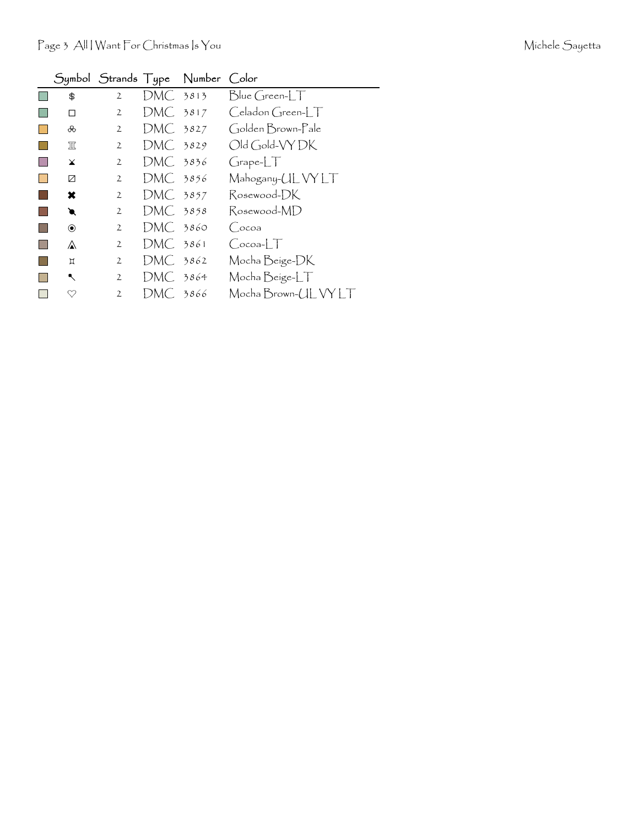|                  |                |          | Symbol Strands Type Number Color |                          |
|------------------|----------------|----------|----------------------------------|--------------------------|
| \$               | $\mathbf{2}$   | DMC 3813 |                                  | $Blue Green-LT$          |
| □                | 2              | DMC 3817 |                                  | $C$ eladon $G$ reen- $T$ |
| ൿ                | $\mathfrak{2}$ | DMC 3827 |                                  | Golden Brown-Pale        |
| 冚                | $\mathbf{2}$   | DMC 3829 |                                  | Old Gold-VY DK           |
| X                | $\mathfrak{2}$ | DMC 3836 |                                  | GrapherLT                |
| Ø                | $\mathbf{2}$   | DMC 3856 |                                  | Mahogany-UL VY LT        |
| ×                | $\mathbf{2}$   | DMC 3857 |                                  | Rosewood-DK              |
| ◥                | $\mathbf{2}$   | DMC 3858 |                                  | Rosewood-MD              |
| $\circledbullet$ | $\mathbf{2}$   | DMC 3860 |                                  | $\int$ ocoa              |
| ⚠                | $\mathbf{2}$   | DMC 3861 |                                  | $Cocoa-LT$               |
| Д                | $\mathbf{2}$   | DMC 3862 |                                  | Mocha Beige-DK           |
| ↖                | $\mathbf{2}$   | DMC 3864 |                                  | Mocha Beige-LT           |
| ♡                | $\mathbf{2}$   | DMC 3866 |                                  | Mocha Brown-UL VY LT     |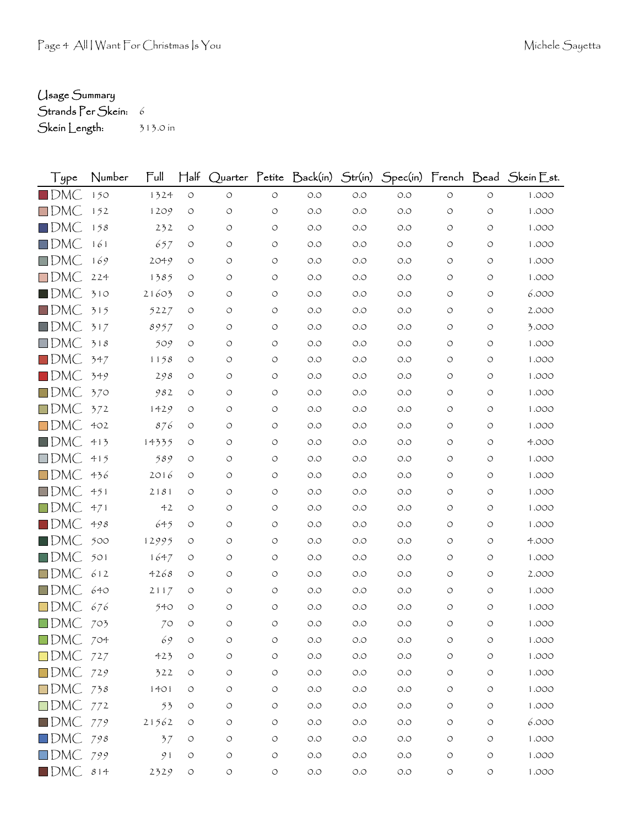## Usage Summary

Strands Per Skein: 6 Skein Length: 313.0 in

| Type                   | Number | Full  | $H$ alf            |                    |                    |       |       |       |                    |                    | Quarter Petite Back(in) Str(in) Spec(in) French Bead Skein Est. |
|------------------------|--------|-------|--------------------|--------------------|--------------------|-------|-------|-------|--------------------|--------------------|-----------------------------------------------------------------|
| $\blacksquare$ DMC     | 150    | 1324  | $\bigcirc$         | $\circlearrowleft$ | $\circ$            | O.O   | O.O   | O.O   | $\circlearrowleft$ | $\circlearrowleft$ | 1.000                                                           |
| $\Box$ DMC             | 152    | 1209  | O                  | O                  | O                  | O.O   | O.O   | O.O   | O                  | O                  | 1.000                                                           |
| $\blacksquare$ dmC     | 158    | 232   | O                  | O                  | $\circ$            | O.O   | O.O   | 0.0   | O                  | O                  | 1.000                                                           |
| $\Box$ DMC             | 161    | 657   | O                  | O                  | O                  | O.O   | O.O   | O.O   | O                  | O                  | 1.000                                                           |
| $\Box$ DMC             | 169    | 2049  | O                  | O                  | $\circ$            | O.O   | O.O   | O.O   | O                  | O                  | 1.000                                                           |
| $\Box$ DMC             | 224    | 1385  | O                  | O                  | O                  | O.O   | O.O   | O.O   | O                  | O                  | 1.000                                                           |
| $\blacksquare$ DMC     | 310    | 21603 | O                  | O                  | O                  | O.O   | O.O   | O.O   | O                  | O                  | 6.000                                                           |
| $\Box$ DMC             | 315    | 5227  | O                  | O                  | $\circ$            | O.O   | O.O   | O.O   | O                  | O                  | 2.000                                                           |
| $\blacksquare$ DMC     | 317    | 8957  | O                  | O                  | O                  | O.O   | O.O   | O.O   | O                  | O                  | 3.000                                                           |
| $\Box$ DMC             | 318    | 509   | O                  | O                  | O                  | O.O   | O.O   | 0.0   | O                  | O                  | 1.000                                                           |
| $\Box$ DMC             | 347    | 1158  | O                  | O                  | $\circ$            | O.O   | O.O   | O.O   | O                  | O                  | 1.000                                                           |
| $\blacksquare$ dmC     | 349    | 298   | O                  | O                  | O                  | O.O   | O.O   | O.O   | O                  | O                  | 1.000                                                           |
| $\Box$ DMC             | 370    | 982   | O                  | O                  | $\circ$            | O.O   | O.O   | O.O   | $\circ$            | $\circ$            | 1.000                                                           |
| $\Box$ DMC             | 372    | 1429  | O                  | O                  | $\circ$            | O.O   | O.O   | O.O   | O                  | O                  | 1.000                                                           |
| $\square$ DMC          | 402    | 876   | O                  | O                  | O                  | O.O   | O.O   | O.O   | O                  | O                  | 1.000                                                           |
| $\blacksquare$ DMC     | 413    | 14335 | O                  | O                  | $\circ$            | O.O   | O.O   | O.O   | O                  | O                  | 4.000                                                           |
| $\Box$ DMC             | 415    | 589   | O                  | O                  | $\circ$            | O.O   | O.O   | 0.0   | O                  | O                  | 1.000                                                           |
| $\square$ DMC          | 436    | 2016  | O                  | O                  | O                  | O.O   | O.O   | O.O   | O                  | O                  | 1.000                                                           |
| $\Box$ DMC             | 451    | 2181  | O                  | O                  | $\circ$            | O.O   | O.O   | 0.0   | $\circ$            | O                  | 1.000                                                           |
| $\square$ DMC          | 471    | 42    | O                  | O                  | O                  | O.O   | O.O   | 0.0   | O                  | O                  | 1.000                                                           |
| $\Box$ DMC             | 498    | 645   | O                  | O                  | O                  | O.O   | O.O   | O.O   | O                  | O                  | 1.000                                                           |
| $\blacksquare$ dmC     | 500    | 12995 | O                  | O                  | O                  | O.O   | O.O   | O.O   | O                  | O                  | 4.000                                                           |
| $\blacksquare$ DMC     | 501    | 1647  | O                  | O                  | O                  | O.O   | O.O   | O.O   | O                  | O                  | 1.000                                                           |
| <b>TDMC</b>            | 612    | 4268  | O                  | O                  | $\circ$            | O.O   | O.O   | O.O   | O                  | $\circ$            | 2.000                                                           |
| $\Box$ DMC             | 640    | 2117  | O                  | O                  | O                  | O.O   | O.O   | O.O   | O                  | O                  | 1.000                                                           |
| $\Box$ DMC.            | 676    | 540   | O                  | O                  | $\circ$            | O.O   | O.O   | O.O   | O                  | O                  | 1.000                                                           |
| $\Box$ dmc             | 703    | 70    | O                  | O                  | O                  | O.O   | O.O   | O.O   | O                  | O                  | 1.000                                                           |
| $\Box$ DMC 704         |        | 69    | O                  | O                  | O                  | O.O   | O.O   | O.O   | $\circ$            | $\circ$            | 1.000                                                           |
| $\Box$ DMC 727         |        | 423   | $\bigcirc$         | $\bigcirc$         | $\bigcirc$         | $O.O$ | $O.O$ | $O.O$ | $\circlearrowleft$ | $\circlearrowleft$ | 1.000                                                           |
| $\Box$ DMC 729         |        | 322   | $\circlearrowleft$ | O                  | $\circlearrowleft$ | $O.O$ | $O.O$ | $O.O$ | $\bigcirc$         | $\bigcirc$         | 1.000                                                           |
| $\Box$ DMC 738         |        | 1401  | O                  | O                  | $\circlearrowleft$ | O.O   | $O.O$ | $O.O$ | $\circ$            | $\circ$            | 1.000                                                           |
| $\Box$ DMC 772         |        | 53    | $\bigcirc$         | $\bigcirc$         | $\circlearrowleft$ | $O.O$ | $O.O$ | O.O   | $\circ$            | $\bigcirc$         | 1.000                                                           |
| $\blacksquare$ DMC 779 |        | 21562 | O                  | O                  | $\circ$            | $O.O$ | $O.O$ | $O.O$ | $\circ$            | $\circ$            | 6.000                                                           |
| $\blacksquare$ DMC 798 |        | 37    | $\bigcirc$         | O                  | $\circlearrowleft$ | $O.O$ | O.O   | O.O   | $\circ$            | $\bigcirc$         | 1.000                                                           |
| $\Box$ DMC 799         |        | 91    | $\bigcirc$         | $\circ$            | $\bigcirc$         | $O.O$ | $O.O$ | O.O   | $\circlearrowleft$ | $\circlearrowleft$ | 1.000                                                           |
| $\blacksquare$ DMC 814 |        | 2329  | $\bigcirc$         | $\bigcirc$         | $\circlearrowleft$ | $O.O$ | $O.O$ | $O.O$ | $\bigcirc$         | $\bigcirc$         | 1.000                                                           |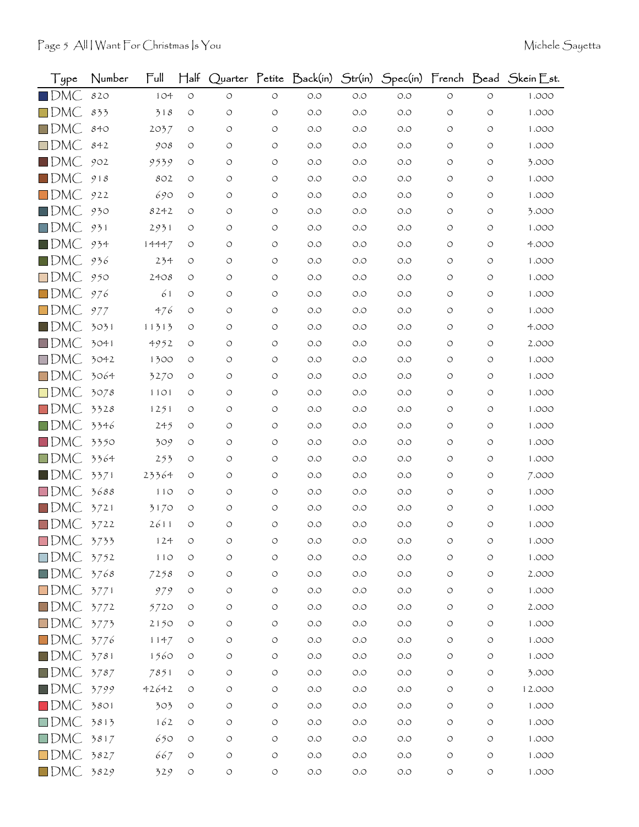| Type                    | Number | Full  | $\mathsf{H\!}\mathrm{aff}$ |                    |                    | Quarter Petite Back(in) | Str(in) |       |                    |            | Spec(in) French Bead Skein Est. |
|-------------------------|--------|-------|----------------------------|--------------------|--------------------|-------------------------|---------|-------|--------------------|------------|---------------------------------|
| $\blacksquare$ DMC      | 820    | 104   | $\circlearrowleft$         | $\circ$            | $\circ$            | $O.O$                   | $O.O$   | $O.O$ | $\circ$            | $\circ$    | 1.000                           |
| $\square$ DMC           | 833    | 318   | $\circ$                    | $\circ$            | $\circ$            | O.O                     | O.O     | O.O   | O                  | $\circ$    | 1.000                           |
| $\Box$ DMC              | 840    | 2037  | O                          | O                  | O                  | O.O                     | O.O     | O.O   | O                  | O          | 1.000                           |
| $\square$ DMC           | 842    | 908   | O                          | $\circ$            | O                  | O.O                     | O.O     | O.O   | O                  | O          | 1.000                           |
| $\blacksquare$ DMC      | 902    | 9539  | O                          | O                  | $\circ$            | O.O                     | O.O     | O.O   | O                  | O          | 3.000                           |
| $\blacksquare$ DMC      | 918    | 802   | O                          | O                  | $\circ$            | O.O                     | O.O     | O.O   | O                  | O          | 1.000                           |
| $\square$ DMC           | 922    | 690   | O                          | $\circ$            | O                  | O.O                     | O.O     | O.O   | O                  | O          | 1.000                           |
| $\blacksquare$ DMC      | 930    | 8242  | O                          | O                  | $\circ$            | O.O                     | O.O     | O.O   | O                  | O          | 3.000                           |
| $\Box$ DMC              | 931    | 2931  | O                          | O                  | $\circ$            | O.O                     | O.O     | O.O   | $\circ$            | $\circ$    | 1.000                           |
| $\blacksquare$ DMC      | 934    | 14447 | O                          | O                  | O                  | O.O                     | O.O     | $O.O$ | O                  | O          | 4.000                           |
| $\square$ DMC           | 936    | 234   | O                          | $\circ$            | O                  | O.O                     | O.O     | O.O   | O                  | O          | 1.000                           |
| $\square$ DMC           | 950    | 2408  | O                          | $\circ$            | $\circ$            | O.O                     | O.O     | O.O   | O                  | O          | 1.000                           |
| $\square$ DMC           | 976    | 61    | O                          | O                  | O                  | $O.O$                   | O.O     | O.O   | O                  | O          | 1.000                           |
| $\square$ DMC           | 977    | 476   | O                          | O                  | $\circ$            | O.O                     | O.O     | O.O   | $\circ$            | $\circ$    | 1.000                           |
| $\square$ DMC           | 3031   | 11313 | O                          | $\circ$            | O                  | O.O                     | O.O     | O.O   | O                  | O          | 4.000                           |
| $\Box$ DMC              | 3041   | 4952  | O                          | $\circ$            | O                  | O.O                     | O.O     | O.O   | O                  | O          | 2.000                           |
| $\Box$ DMC              | 3042   | 1300  | O                          | O                  | $\circ$            | O.O                     | O.O     | O.O   | $\circ$            | $\circ$    | 1.000                           |
| $\square$ DMC           | 3064   | 3270  | O                          | O                  | $\circ$            | O.O                     | O.O     | O.O   | O                  | $\circ$    | 1.000                           |
| $\square$ DMC           | 3078   | 1101  | $\circ$                    | $\circ$            | O                  | O.O                     | O.O     | O.O   | O                  | O          | 1.000                           |
| $\square$ DMC           | 3328   | 1251  | O                          | O                  | O                  | O.O                     | O.O     | O.O   | $\circ$            | O          | 1.000                           |
| $\square$ DMC           | 3346   | 245   | $\circ$                    | O                  | $\circ$            | O.O                     | O.O     | O.O   | O                  | O          | 1.000                           |
| $\Box$ DMC              | 3350   | 309   | O                          | $\circ$            | O                  | O.O                     | O.O     | O.O   | O                  | O          | 1.000                           |
| $\square$ DMC           | 3364   | 253   | O                          | $\circ$            | $\circ$            | O.O                     | O.O     | O.O   | $\circ$            | $\circ$    | 1.000                           |
| $\blacksquare$ DMC      | 3371   | 23364 | O                          | O                  | O                  | O.O                     | O.O     | O.O   | O                  | O          | 7.000                           |
| $\square$ DMC           | 3688   | 110   | O                          | O                  | O                  | O.O                     | O.O     | O.O   | O                  | O          | 1.000                           |
| $\square$ DMC           | 3721   | 3170  | O                          | $\circ$            | O                  | O.O                     | O.O     | O.O   | O                  | O          | 1.000                           |
| $\square$ DMC           | 3722   | 2611  | $\circ$                    | $\circ$            | O                  | $O.O$                   | O.O     | O.O   | $\circ$            | O          | 1.000                           |
| $\Box$ DMC              | 3733   | 124   | O                          | O                  | O                  | O.O                     | $O.O$   | O.O   |                    |            | 1.000                           |
| $\Box$ DMC 3752         |        | 110   | $\circlearrowleft$         | O                  | $\circ$            | O.O                     | O.O     | O.O   | O                  | $\circ$    | 1.000                           |
| $\blacksquare$ DMC 3768 |        | 7258  | $\circ$                    | $\circlearrowleft$ | $\circlearrowleft$ | $O.O$                   | $O.O$   | $O.O$ | $\circ$            | $\circ$    | 2.000                           |
| $\Box$ DMC 3771         |        | 979   | O                          | O                  | $\circlearrowleft$ | $O.O$                   | O.O     | $O.O$ | $\circ$            | O          | 1.000                           |
| $\square$ DMC           | 3772   | 5720  | $\circ$                    | O                  | $\circlearrowleft$ | $O.O$                   | $O.O$   | $O.O$ | O                  | O          | 2.000                           |
| $\square$ DMC           | 3773   | 2150  | $\circ$                    | $\circ$            | $\circ$            | $O.O$                   | $O.O$   | $O.O$ | $\circ$            | $\circ$    | 1.000                           |
| $\square$ DMC           | 3776   | 1147  | $\circ$                    | O                  | $\circlearrowleft$ | $O.O$                   | $O.O$   | $O.O$ | O                  | $\bigcirc$ | 1.000                           |
| $\blacksquare$ DMC      | 3781   | 1560  | O                          | O                  | $\circ$            | $O.O$                   | $O.O$   | $O.O$ | $\circ$            | O          | 1.000                           |
| $\blacksquare$ DMC      | 3787   | 7851  | O                          | $\circ$            | $\circlearrowleft$ | $O.O$                   | O.O     | $O.O$ | $\circ$            | O          | 3.000                           |
| $\blacksquare$ DMC      | 3799   | 42642 | $\circ$                    | O                  | $\circlearrowleft$ | O.O                     | $O.O$   | $O.O$ | O                  | $\circ$    | 12.000                          |
| $\square$ DMC           | 3801   | 303   | O                          | O                  | $\circ$            | $O.O$                   | $O.O$   | $O.O$ | O                  | $\circ$    | 1.000                           |
| $\square$ DMC           | 3813   | 162   | $\circ$                    | O                  | $\circ$            | $O.O$                   | $O.O$   | $O.O$ | $\circ$            | $\circ$    | 1.000                           |
| $\square$ DMC           | 3817   | 650   | O                          | O                  | $\circ$            | $O.O$                   | $O.O$   | $O.O$ | O                  | O          | 1.000                           |
| $\square$ DMC           | 3827   | 667   | $\circ$                    | $\circ$            | $\circlearrowleft$ | $O.O$                   | $O.O$   | $O.O$ | $\circ$            | $\bigcirc$ | 1.000                           |
| $\Box$ DMC              | 3829   | 329   | $\circlearrowleft$         | $\circlearrowleft$ | $\bigcirc$         | O.O                     | O.O     | $O.O$ | $\circlearrowleft$ | $\bigcirc$ | 1.000                           |